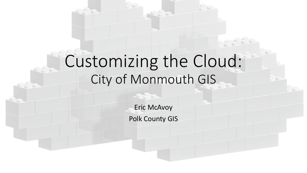# Customizing the Cloud: City of Monmouth GIS

Eric McAvoy Polk County GIS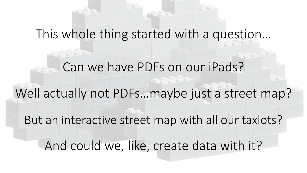## This whole thing started with a question…

Can we have PDFs on our iPads? Well actually not PDFs…maybe just a street map? But an interactive street map with all our taxlots? And could we, like, create data with it?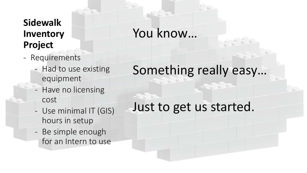#### **Sidewalk Inventory Project**

- Requirements
	- Had to use existing equipment
	- Have no licensing cost
	- Use minimal IT (GIS) hours in setup
	- Be simple enough for an Intern to use

# You know…

# Something really easy…

### Just to get us started.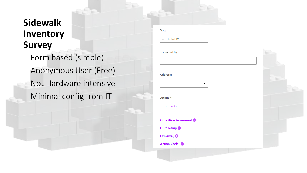### **Sidewalk Inventory Survey**

- Form based (simple)
- Anonymous User (Free)
- Not Hardware intensive
- Minimal config from IT

| . . | ______ |  |
|-----|--------|--|
|     |        |  |

■ 02/07/2019

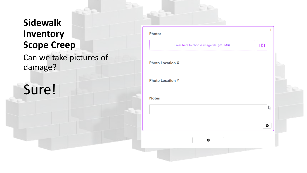### **Sidewalk Inventory Scope Creep**

Can we take pictures of damage?

# Sure!

| Press here to choose image file. (<10MB) | <u>o]</u> |
|------------------------------------------|-----------|
| <b>Photo Location X</b>                  |           |
| <b>Photo Location Y</b>                  |           |
| <b>Notes</b>                             |           |
|                                          | P         |
|                                          | ۰         |
| ۰                                        |           |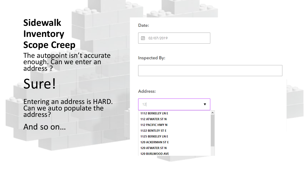#### **Sidewalk Inventory Scope Creep**

The autopoint isn't accurate enough. Can we enter an address ?

# Sure!

Entering an address is HARD. Can we auto populate the address?

And so on…

| _ |  |  |
|---|--|--|

02/07/2019  $\overline{a}$ 

**Inspected By:** 

Address:

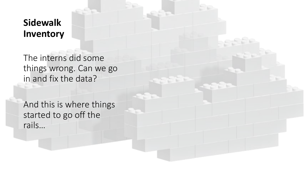#### **Sidewalk Inventory**

The interns did some things wrong. Can we go in and fix the data?

And this is where things started to go off the rails…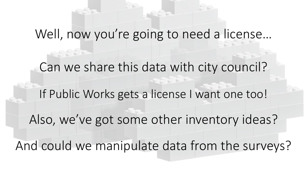# Well, now you're going to need a license…

Can we share this data with city council? If Public Works gets a license I want one too! Also, we've got some other inventory ideas? And could we manipulate data from the surveys?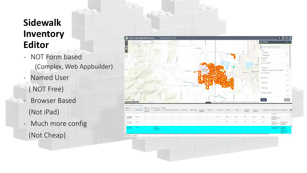### **Sidewalk Inventory Editor**

- NOT Form based (Complex, Web Appbuilder)
- Named User
	- ( NOT Free)
- Browser Based (Not iPad)
- Much more config

(Not Cheap)



2309 features 1 selected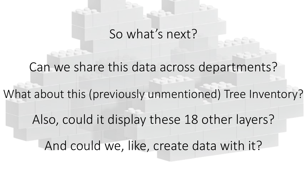# So what's next?

Can we share this data across departments? What about this (previously unmentioned) Tree Inventory? Also, could it display these 18 other layers? And could we, like, create data with it?